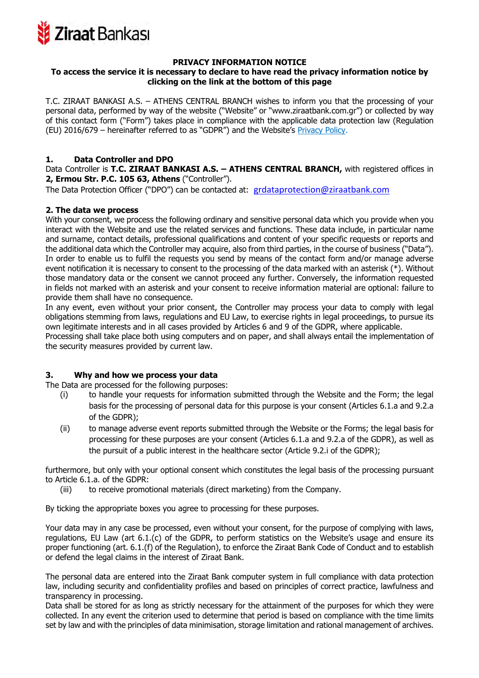

#### **PRIVACY INFORMATION NOTICE**

## **To access the service it is necessary to declare to have read the privacy information notice by clicking on the link at the bottom of this page**

T.C. ZIRAAT BANKASI A.S. – ATHENS CENTRAL BRANCH wishes to inform you that the processing of your personal data, performed by way of the website ("Website" or "www.ziraatbank.com.gr") or collected by way of this contact form ("Form") takes place in compliance with the applicable data protection law (Regulation (EU) 2016/679 – hereinafter referred to as "GDPR") and the Website's Privacy Policy.

## **1. Data Controller and DPO**

Data Controller is **T.C. ZIRAAT BANKASI A.S. – ATHENS CENTRAL BRANCH,** with registered offices in **2, Ermou Str. P.C. 105 63, Athens** ("Controller").

The Data Protection Officer ("DPO") can be contacted at: grdataprotection@ziraatbank.com

## **2. The data we process**

With your consent, we process the following ordinary and sensitive personal data which you provide when you interact with the Website and use the related services and functions. These data include, in particular name and surname, contact details, professional qualifications and content of your specific requests or reports and the additional data which the Controller may acquire, also from third parties, in the course of business ("Data"). In order to enable us to fulfil the requests you send by means of the contact form and/or manage adverse event notification it is necessary to consent to the processing of the data marked with an asterisk (\*). Without those mandatory data or the consent we cannot proceed any further. Conversely, the information requested in fields not marked with an asterisk and your consent to receive information material are optional: failure to provide them shall have no consequence.

In any event, even without your prior consent, the Controller may process your data to comply with legal obligations stemming from laws, regulations and EU Law, to exercise rights in legal proceedings, to pursue its own legitimate interests and in all cases provided by Articles 6 and 9 of the GDPR, where applicable.

Processing shall take place both using computers and on paper, and shall always entail the implementation of the security measures provided by current law.

# **3. Why and how we process your data**

The Data are processed for the following purposes:

- (i) to handle your requests for information submitted through the Website and the Form; the legal basis for the processing of personal data for this purpose is your consent (Articles 6.1.a and 9.2.a of the GDPR);
- (ii) to manage adverse event reports submitted through the Website or the Forms; the legal basis for processing for these purposes are your consent (Articles 6.1.a and 9.2.a of the GDPR), as well as the pursuit of a public interest in the healthcare sector (Article 9.2.i of the GDPR);

furthermore, but only with your optional consent which constitutes the legal basis of the processing pursuant to Article 6.1.a. of the GDPR:

(iii) to receive promotional materials (direct marketing) from the Company.

By ticking the appropriate boxes you agree to processing for these purposes.

Your data may in any case be processed, even without your consent, for the purpose of complying with laws, regulations, EU Law (art 6.1.(c) of the GDPR, to perform statistics on the Website's usage and ensure its proper functioning (art. 6.1.(f) of the Regulation), to enforce the Ziraat Bank Code of Conduct and to establish or defend the legal claims in the interest of Ziraat Bank.

The personal data are entered into the Ziraat Bank computer system in full compliance with data protection law, including security and confidentiality profiles and based on principles of correct practice, lawfulness and transparency in processing.

Data shall be stored for as long as strictly necessary for the attainment of the purposes for which they were collected. In any event the criterion used to determine that period is based on compliance with the time limits set by law and with the principles of data minimisation, storage limitation and rational management of archives.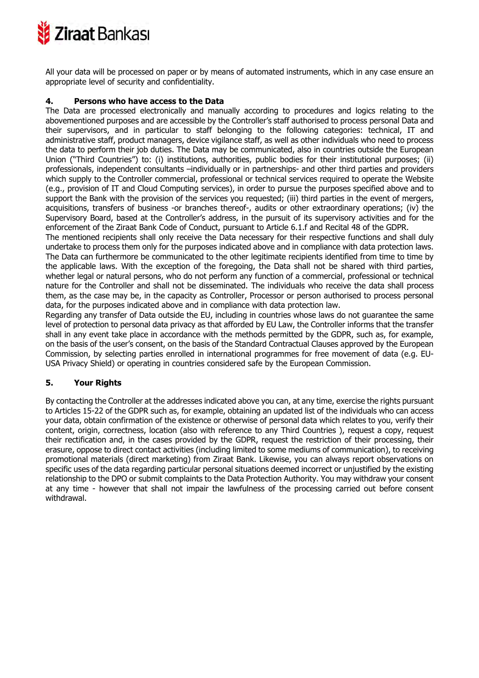

All your data will be processed on paper or by means of automated instruments, which in any case ensure an appropriate level of security and confidentiality.

### **4. Persons who have access to the Data**

The Data are processed electronically and manually according to procedures and logics relating to the abovementioned purposes and are accessible by the Controller's staff authorised to process personal Data and their supervisors, and in particular to staff belonging to the following categories: technical, IT and administrative staff, product managers, device vigilance staff, as well as other individuals who need to process the data to perform their job duties. The Data may be communicated, also in countries outside the European Union ("Third Countries") to: (i) institutions, authorities, public bodies for their institutional purposes; (ii) professionals, independent consultants –individually or in partnerships- and other third parties and providers which supply to the Controller commercial, professional or technical services required to operate the Website (e.g., provision of IT and Cloud Computing services), in order to pursue the purposes specified above and to support the Bank with the provision of the services you requested; (iii) third parties in the event of mergers, acquisitions, transfers of business -or branches thereof-, audits or other extraordinary operations; (iv) the Supervisory Board, based at the Controller's address, in the pursuit of its supervisory activities and for the enforcement of the Ziraat Bank Code of Conduct, pursuant to Article 6.1.f and Recital 48 of the GDPR.

The mentioned recipients shall only receive the Data necessary for their respective functions and shall duly undertake to process them only for the purposes indicated above and in compliance with data protection laws. The Data can furthermore be communicated to the other legitimate recipients identified from time to time by the applicable laws. With the exception of the foregoing, the Data shall not be shared with third parties, whether legal or natural persons, who do not perform any function of a commercial, professional or technical nature for the Controller and shall not be disseminated. The individuals who receive the data shall process them, as the case may be, in the capacity as Controller, Processor or person authorised to process personal data, for the purposes indicated above and in compliance with data protection law.

Regarding any transfer of Data outside the EU, including in countries whose laws do not guarantee the same level of protection to personal data privacy as that afforded by EU Law, the Controller informs that the transfer shall in any event take place in accordance with the methods permitted by the GDPR, such as, for example, on the basis of the user's consent, on the basis of the Standard Contractual Clauses approved by the European Commission, by selecting parties enrolled in international programmes for free movement of data (e.g. EU-USA Privacy Shield) or operating in countries considered safe by the European Commission.

# **5. Your Rights**

By contacting the Controller at the addresses indicated above you can, at any time, exercise the rights pursuant to Articles 15-22 of the GDPR such as, for example, obtaining an updated list of the individuals who can access your data, obtain confirmation of the existence or otherwise of personal data which relates to you, verify their content, origin, correctness, location (also with reference to any Third Countries ), request a copy, request their rectification and, in the cases provided by the GDPR, request the restriction of their processing, their erasure, oppose to direct contact activities (including limited to some mediums of communication), to receiving promotional materials (direct marketing) from Ziraat Bank. Likewise, you can always report observations on specific uses of the data regarding particular personal situations deemed incorrect or unjustified by the existing relationship to the DPO or submit complaints to the Data Protection Authority. You may withdraw your consent at any time - however that shall not impair the lawfulness of the processing carried out before consent withdrawal.